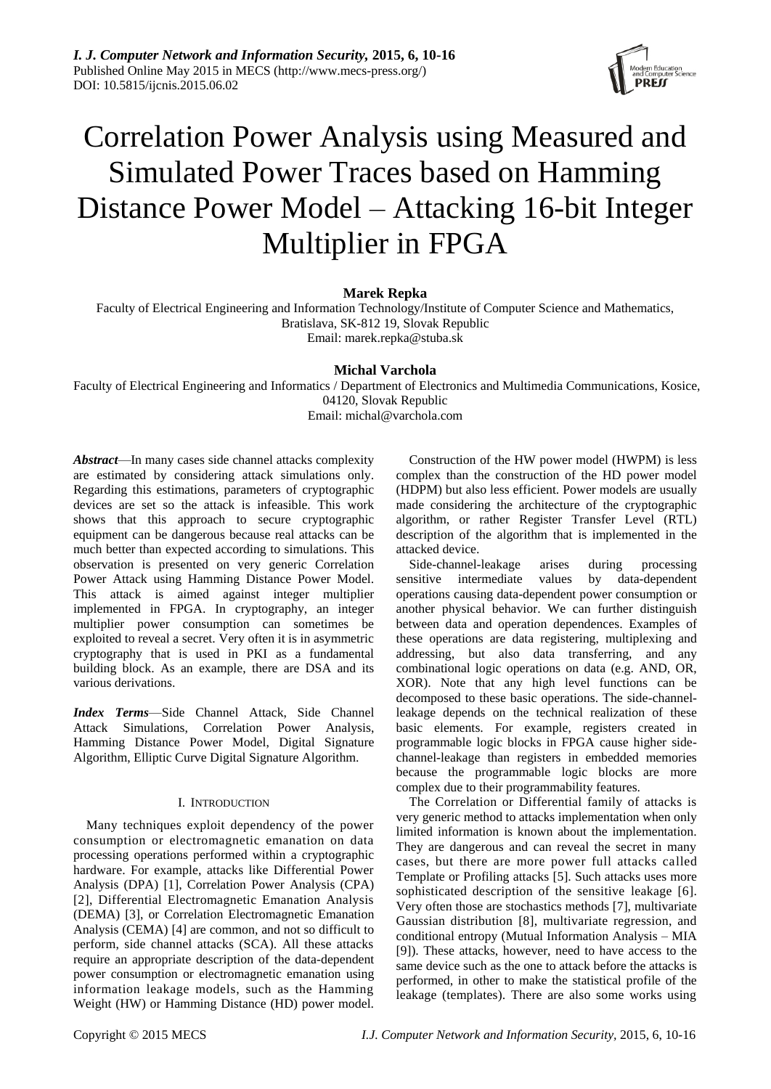

# Correlation Power Analysis using Measured and Simulated Power Traces based on Hamming Distance Power Model – Attacking 16-bit Integer Multiplier in FPGA

# **Marek Repka**

Faculty of Electrical Engineering and Information Technology/Institute of Computer Science and Mathematics, Bratislava, SK-812 19, Slovak Republic Email: marek.repka@stuba.sk

# **Michal Varchola**

Faculty of Electrical Engineering and Informatics / Department of Electronics and Multimedia Communications, Kosice, 04120, Slovak Republic Email: michal@varchola.com

*Abstract*—In many cases side channel attacks complexity are estimated by considering attack simulations only. Regarding this estimations, parameters of cryptographic devices are set so the attack is infeasible. This work shows that this approach to secure cryptographic equipment can be dangerous because real attacks can be much better than expected according to simulations. This observation is presented on very generic Correlation Power Attack using Hamming Distance Power Model. This attack is aimed against integer multiplier implemented in FPGA. In cryptography, an integer multiplier power consumption can sometimes be exploited to reveal a secret. Very often it is in asymmetric cryptography that is used in PKI as a fundamental building block. As an example, there are DSA and its various derivations.

*Index Terms*—Side Channel Attack, Side Channel Attack Simulations, Correlation Power Analysis, Hamming Distance Power Model, Digital Signature Algorithm, Elliptic Curve Digital Signature Algorithm.

# I. INTRODUCTION

Many techniques exploit dependency of the power consumption or electromagnetic emanation on data processing operations performed within a cryptographic hardware. For example, attacks like Differential Power Analysis (DPA) [\[1\],](#page-6-0) Correlation Power Analysis (CPA) [\[2\],](#page-6-1) Differential Electromagnetic Emanation Analysis (DEMA) [\[3\],](#page-6-2) or Correlation Electromagnetic Emanation Analysis (CEMA) [\[4\]](#page-6-3) are common, and not so difficult to perform, side channel attacks (SCA). All these attacks require an appropriate description of the data-dependent power consumption or electromagnetic emanation using information leakage models, such as the Hamming Weight (HW) or Hamming Distance (HD) power model.

Construction of the HW power model (HWPM) is less complex than the construction of the HD power model (HDPM) but also less efficient. Power models are usually made considering the architecture of the cryptographic algorithm, or rather Register Transfer Level (RTL) description of the algorithm that is implemented in the attacked device.

Side-channel-leakage arises during processing sensitive intermediate values by data-dependent operations causing data-dependent power consumption or another physical behavior. We can further distinguish between data and operation dependences. Examples of these operations are data registering, multiplexing and addressing, but also data transferring, and any combinational logic operations on data (e.g. AND, OR, XOR). Note that any high level functions can be decomposed to these basic operations. The side-channelleakage depends on the technical realization of these basic elements. For example, registers created in programmable logic blocks in FPGA cause higher sidechannel-leakage than registers in embedded memories because the programmable logic blocks are more complex due to their programmability features.

The Correlation or Differential family of attacks is very generic method to attacks implementation when only limited information is known about the implementation. They are dangerous and can reveal the secret in many cases, but there are more power full attacks called Template or Profiling attacks [\[5\].](#page-6-4) Such attacks uses more sophisticated description of the sensitive leakage [\[6\].](#page-6-5) Very often those are stochastics methods [\[7\],](#page-6-6) multivariate Gaussian distribution [\[8\],](#page-6-7) multivariate regression, and conditional entropy (Mutual Information Analysis – MIA [\[9\]\)](#page-6-8). These attacks, however, need to have access to the same device such as the one to attack before the attacks is performed, in other to make the statistical profile of the leakage (templates). There are also some works using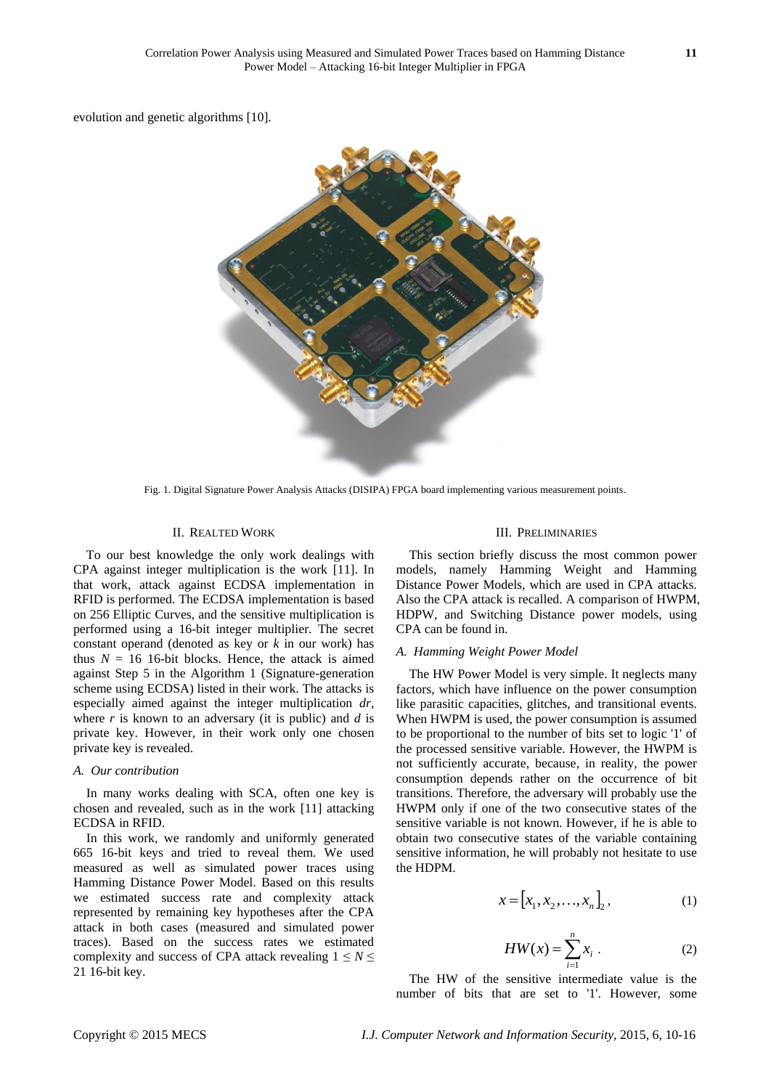evolution and genetic algorithm[s \[10\].](#page-6-9)



Fig. 1. Digital Signature Power Analysis Attacks (DISIPA) FPGA board implementing various measurement points.

### II. REALTED WORK

To our best knowledge the only work dealings with CPA against integer multiplication is the work [\[11\].](#page-6-10) In that work, attack against ECDSA implementation in RFID is performed. The ECDSA implementation is based on 256 Elliptic Curves, and the sensitive multiplication is performed using a 16-bit integer multiplier. The secret constant operand (denoted as key or *k* in our work) has thus  $N = 16$  16-bit blocks. Hence, the attack is aimed against Step 5 in the Algorithm 1 (Signature-generation scheme using ECDSA) listed in their work. The attacks is especially aimed against the integer multiplication *dr*, where *r* is known to an adversary (it is public) and *d* is private key. However, in their work only one chosen private key is revealed.

#### *A. Our contribution*

In many works dealing with SCA, often one key is chosen and revealed, such as in the work [\[11\]](#page-6-10) attacking ECDSA in RFID.

In this work, we randomly and uniformly generated 665 16-bit keys and tried to reveal them. We used measured as well as simulated power traces using Hamming Distance Power Model. Based on this results we estimated success rate and complexity attack represented by remaining key hypotheses after the CPA attack in both cases (measured and simulated power traces). Based on the success rates we estimated complexity and success of CPA attack revealing  $1 \leq N \leq$ 21 16-bit key.

#### III. PRELIMINARIES

This section briefly discuss the most common power models, namely Hamming Weight and Hamming Distance Power Models, which are used in CPA attacks. Also the CPA attack is recalled. A comparison of HWPM, HDPW, and Switching Distance power models, using CPA can be found in.

#### *A. Hamming Weight Power Model*

The HW Power Model is very simple. It neglects many factors, which have influence on the power consumption like parasitic capacities, glitches, and transitional events. When HWPM is used, the power consumption is assumed to be proportional to the number of bits set to logic '1' of the processed sensitive variable. However, the HWPM is not sufficiently accurate, because, in reality, the power consumption depends rather on the occurrence of bit transitions. Therefore, the adversary will probably use the HWPM only if one of the two consecutive states of the sensitive variable is not known. However, if he is able to obtain two consecutive states of the variable containing sensitive information, he will probably not hesitate to use the HDPM.

$$
x = [x_1, x_2, \dots, x_n]_2, \tag{1}
$$

$$
HW(x) = \sum_{i=1}^{n} x_i
$$
 (2)

The HW of the sensitive intermediate value is the number of bits that are set to '1'. However, some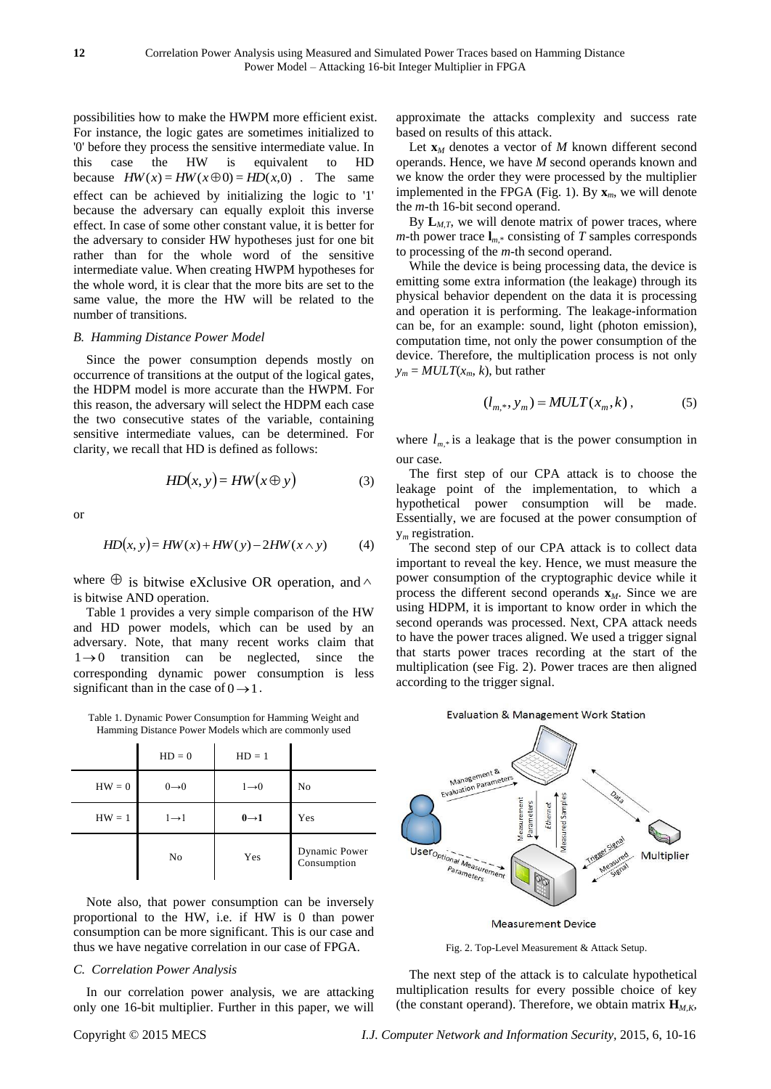possibilities how to make the HWPM more efficient exist. For instance, the logic gates are sometimes initialized to '0' before they process the sensitive intermediate value. In this case the HW is equivalent to HD because  $HW(x) = HW(x \oplus 0) = HD(x,0)$ . The same effect can be achieved by initializing the logic to '1' because the adversary can equally exploit this inverse effect. In case of some other constant value, it is better for the adversary to consider HW hypotheses just for one bit rather than for the whole word of the sensitive intermediate value. When creating HWPM hypotheses for the whole word, it is clear that the more bits are set to the same value, the more the HW will be related to the number of transitions.

#### *B. Hamming Distance Power Model*

Since the power consumption depends mostly on occurrence of transitions at the output of the logical gates, the HDPM model is more accurate than the HWPM. For this reason, the adversary will select the HDPM each case the two consecutive states of the variable, containing sensitive intermediate values, can be determined. For clarity, we recall that HD is defined as follows:

$$
HD(x, y) = HW(x \oplus y)
$$
 (3)

or

$$
HD(x, y) = HW(x) + HW(y) - 2HW(x \wedge y)
$$
 (4)

where  $\oplus$  is bitwise eXclusive OR operation, and  $\wedge$ is bitwise AND operation.

Table 1 provides a very simple comparison of the HW and HD power models, which can be used by an adversary. Note, that many recent works claim that  $1 \rightarrow 0$  transition can be neglected, since the corresponding dynamic power consumption is less significant than in the case of  $0 \rightarrow 1$ .

Table 1. Dynamic Power Consumption for Hamming Weight and Hamming Distance Power Models which are commonly used

|          | $HD = 0$          | $HD = 1$          |                              |
|----------|-------------------|-------------------|------------------------------|
| $HW = 0$ | $0\rightarrow 0$  | $1\rightarrow 0$  | No                           |
| $HW = 1$ | $1 \rightarrow 1$ | $0 \rightarrow 1$ | Yes                          |
|          | N <sub>0</sub>    | Yes               | Dynamic Power<br>Consumption |

Note also, that power consumption can be inversely proportional to the HW, i.e. if HW is 0 than power consumption can be more significant. This is our case and thus we have negative correlation in our case of FPGA.

# *C. Correlation Power Analysis*

In our correlation power analysis, we are attacking only one 16-bit multiplier. Further in this paper, we will approximate the attacks complexity and success rate based on results of this attack.

Let  $\mathbf{x}_M$  denotes a vector of  $M$  known different second operands. Hence, we have *M* second operands known and we know the order they were processed by the multiplier implemented in the FPGA (Fig. 1). By  $\mathbf{x}_m$ , we will denote the *m*-th 16-bit second operand.

By  $L_{M,T}$ , we will denote matrix of power traces, where *m*-th power trace  $I_{m,*}$  consisting of *T* samples corresponds to processing of the *m*-th second operand.

While the device is being processing data, the device is emitting some extra information (the leakage) through its physical behavior dependent on the data it is processing and operation it is performing. The leakage-information can be, for an example: sound, light (photon emission), computation time, not only the power consumption of the device. Therefore, the multiplication process is not only  $y_m = MULT(x_m, k)$ , but rather

$$
(l_{m,*}, y_m) = MULT(x_m, k), \t(5)
$$

where  $l_{m,*}$  is a leakage that is the power consumption in our case.

The first step of our CPA attack is to choose the leakage point of the implementation, to which a hypothetical power consumption will be made. Essentially, we are focused at the power consumption of y*<sup>m</sup>* registration.

The second step of our CPA attack is to collect data important to reveal the key. Hence, we must measure the power consumption of the cryptographic device while it process the different second operands **x***M*. Since we are using HDPM, it is important to know order in which the second operands was processed. Next, CPA attack needs to have the power traces aligned. We used a trigger signal that starts power traces recording at the start of the multiplication (see Fig. 2). Power traces are then aligned according to the trigger signal.





Fig. 2. Top-Level Measurement & Attack Setup.

The next step of the attack is to calculate hypothetical multiplication results for every possible choice of key (the constant operand). Therefore, we obtain matrix  $\mathbf{H}_{M,K}$ ,

Copyright © 2015 MECS *I.J. Computer Network and Information Security,* 2015, 6, 10-16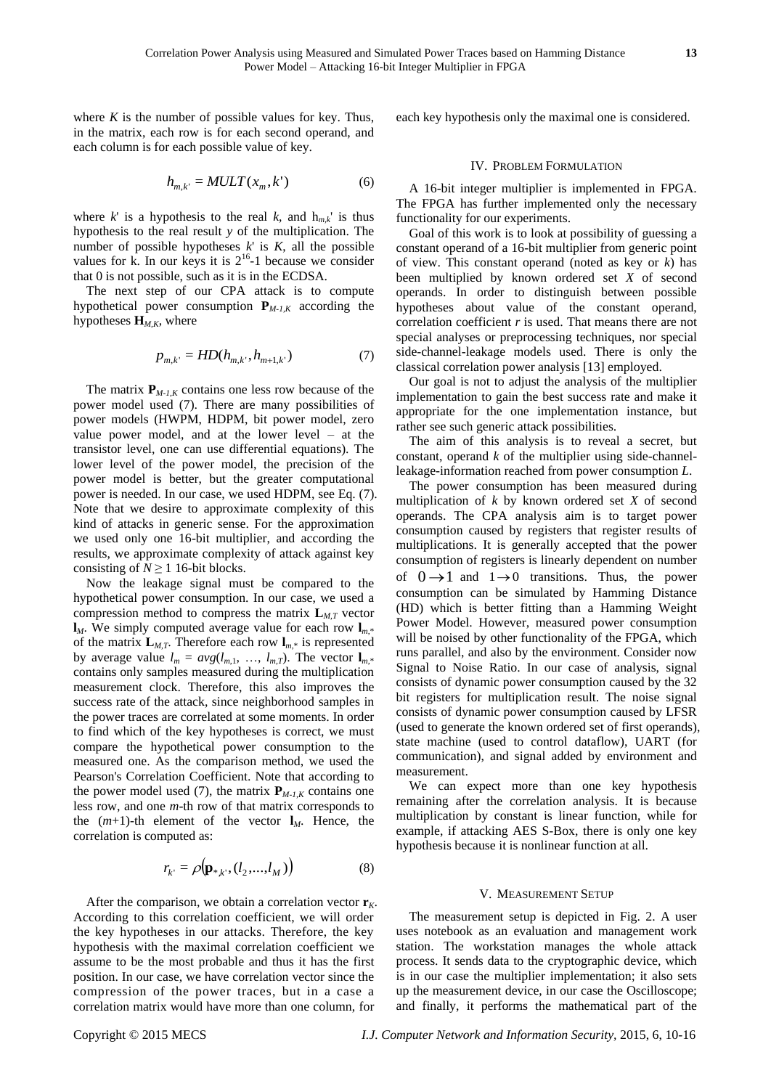where  $K$  is the number of possible values for key. Thus, in the matrix, each row is for each second operand, and each column is for each possible value of key.

$$
h_{m,k'} = MULT(x_m, k') \tag{6}
$$

where *k*' is a hypothesis to the real *k*, and  $h_{mk}$ ' is thus hypothesis to the real result *y* of the multiplication. The number of possible hypotheses  $k'$  is  $K$ , all the possible values for k. In our keys it is  $2^{16}$ -1 because we consider that 0 is not possible, such as it is in the ECDSA.

The next step of our CPA attack is to compute hypothetical power consumption  $P_{M-1,K}$  according the hypotheses  $\mathbf{H}_{M,K}$ , where

$$
p_{m,k'} = HD(h_{m,k'}, h_{m+1,k'})
$$
 (7)

The matrix  $P_{M-1,K}$  contains one less row because of the power model used (7). There are many possibilities of power models (HWPM, HDPM, bit power model, zero value power model, and at the lower level – at the transistor level, one can use differential equations). The lower level of the power model, the precision of the power model is better, but the greater computational power is needed. In our case, we used HDPM, see Eq. (7). Note that we desire to approximate complexity of this kind of attacks in generic sense. For the approximation we used only one 16-bit multiplier, and according the results, we approximate complexity of attack against key consisting of  $N \ge 1$  16-bit blocks.

Now the leakage signal must be compared to the hypothetical power consumption. In our case, we used a compression method to compress the matrix  $L_{M,T}$  vector  $\mathbf{l}_M$ . We simply computed average value for each row  $\mathbf{l}_{m*}$ of the matrix  $\mathbf{L}_{M,T}$ . Therefore each row  $\mathbf{l}_{m,*}$  is represented by average value  $l_m = avg(l_{m,1}, ..., l_{m,T})$ . The vector  $\mathbf{l}_{m,*}$ contains only samples measured during the multiplication measurement clock. Therefore, this also improves the success rate of the attack, since neighborhood samples in the power traces are correlated at some moments. In order to find which of the key hypotheses is correct, we must compare the hypothetical power consumption to the measured one. As the comparison method, we used the Pearson's Correlation Coefficient. Note that according to the power model used (7), the matrix  $P_{M-1,K}$  contains one less row, and one *m*-th row of that matrix corresponds to the  $(m+1)$ -th element of the vector  $\mathbf{l}_M$ . Hence, the correlation is computed as:

$$
r_{k'} = \rho(\mathbf{p}_{*,k'} , (l_2, \ldots, l_M))
$$
\n(8)

After the comparison, we obtain a correlation vector  $\mathbf{r}_K$ . According to this correlation coefficient, we will order the key hypotheses in our attacks. Therefore, the key hypothesis with the maximal correlation coefficient we assume to be the most probable and thus it has the first position. In our case, we have correlation vector since the compression of the power traces, but in a case a correlation matrix would have more than one column, for

each key hypothesis only the maximal one is considered.

### IV. PROBLEM FORMULATION

A 16-bit integer multiplier is implemented in FPGA. The FPGA has further implemented only the necessary functionality for our experiments.

Goal of this work is to look at possibility of guessing a constant operand of a 16-bit multiplier from generic point of view. This constant operand (noted as key or *k*) has been multiplied by known ordered set *X* of second operands. In order to distinguish between possible hypotheses about value of the constant operand, correlation coefficient *r* is used. That means there are not special analyses or preprocessing techniques, nor special side-channel-leakage models used. There is only the classical correlation power analysi[s \[13\]](#page-6-11) employed.

Our goal is not to adjust the analysis of the multiplier implementation to gain the best success rate and make it appropriate for the one implementation instance, but rather see such generic attack possibilities.

The aim of this analysis is to reveal a secret, but constant, operand *k* of the multiplier using side-channelleakage-information reached from power consumption *L*.

The power consumption has been measured during multiplication of *k* by known ordered set *X* of second operands. The CPA analysis aim is to target power consumption caused by registers that register results of multiplications. It is generally accepted that the power consumption of registers is linearly dependent on number of  $0 \rightarrow 1$  and  $1 \rightarrow 0$  transitions. Thus, the power consumption can be simulated by Hamming Distance (HD) which is better fitting than a Hamming Weight Power Model. However, measured power consumption will be noised by other functionality of the FPGA, which runs parallel, and also by the environment. Consider now Signal to Noise Ratio. In our case of analysis, signal consists of dynamic power consumption caused by the 32 bit registers for multiplication result. The noise signal consists of dynamic power consumption caused by LFSR (used to generate the known ordered set of first operands), state machine (used to control dataflow), UART (for communication), and signal added by environment and measurement.

We can expect more than one key hypothesis remaining after the correlation analysis. It is because multiplication by constant is linear function, while for example, if attacking AES S-Box, there is only one key hypothesis because it is nonlinear function at all.

#### V. MEASUREMENT SETUP

The measurement setup is depicted in Fig. 2. A user uses notebook as an evaluation and management work station. The workstation manages the whole attack process. It sends data to the cryptographic device, which is in our case the multiplier implementation; it also sets up the measurement device, in our case the Oscilloscope; and finally, it performs the mathematical part of the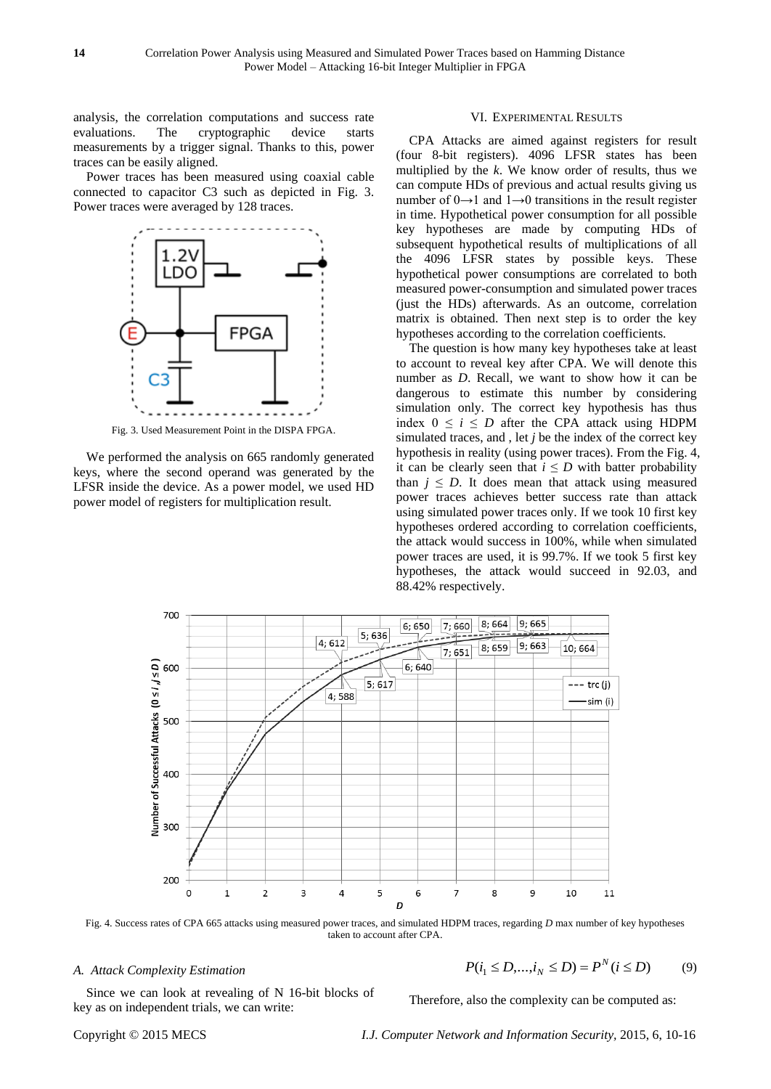analysis, the correlation computations and success rate evaluations. The cryptographic device starts measurements by a trigger signal. Thanks to this, power traces can be easily aligned.

Power traces has been measured using coaxial cable connected to capacitor C3 such as depicted in Fig. 3. Power traces were averaged by 128 traces.



Fig. 3. Used Measurement Point in the DISPA FPGA.

We performed the analysis on 665 randomly generated keys, where the second operand was generated by the LFSR inside the device. As a power model, we used HD power model of registers for multiplication result.

#### VI. EXPERIMENTAL RESULTS

CPA Attacks are aimed against registers for result (four 8-bit registers). 4096 LFSR states has been multiplied by the *k*. We know order of results, thus we can compute HDs of previous and actual results giving us number of  $0 \rightarrow 1$  and  $1 \rightarrow 0$  transitions in the result register in time. Hypothetical power consumption for all possible key hypotheses are made by computing HDs of subsequent hypothetical results of multiplications of all the 4096 LFSR states by possible keys. These hypothetical power consumptions are correlated to both measured power-consumption and simulated power traces (just the HDs) afterwards. As an outcome, correlation matrix is obtained. Then next step is to order the key hypotheses according to the correlation coefficients.

The question is how many key hypotheses take at least to account to reveal key after CPA. We will denote this number as *D*. Recall, we want to show how it can be dangerous to estimate this number by considering simulation only. The correct key hypothesis has thus index  $0 \le i \le D$  after the CPA attack using HDPM simulated traces, and , let *j* be the index of the correct key hypothesis in reality (using power traces). From the Fig. 4, it can be clearly seen that  $i \leq D$  with batter probability than  $j \leq D$ . It does mean that attack using measured power traces achieves better success rate than attack using simulated power traces only. If we took 10 first key hypotheses ordered according to correlation coefficients, the attack would success in 100%, while when simulated power traces are used, it is 99.7%. If we took 5 first key hypotheses, the attack would succeed in 92.03, and 88.42% respectively.



Fig. 4. Success rates of CPA 665 attacks using measured power traces, and simulated HDPM traces, regarding *D* max number of key hypotheses taken to account after CPA.

#### *A. Attack Complexity Estimation*

$$
P(i_1 \le D, ..., i_N \le D) = P^N(i \le D)
$$
 (9)

Since we can look at revealing of N 16-bit blocks of key as on independent trials, we can write:

Therefore, also the complexity can be computed as: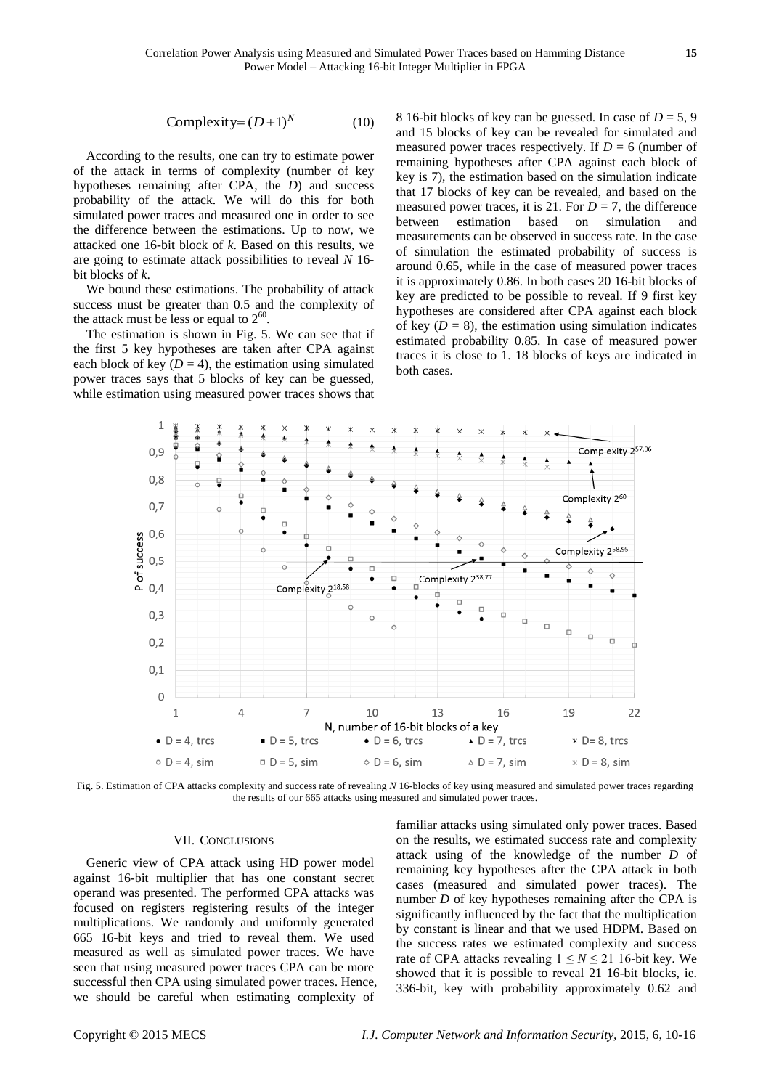Complexity= 
$$
(D+1)^N
$$
 (10)

According to the results, one can try to estimate power of the attack in terms of complexity (number of key hypotheses remaining after CPA, the *D*) and success probability of the attack. We will do this for both simulated power traces and measured one in order to see the difference between the estimations. Up to now, we attacked one 16-bit block of *k*. Based on this results, we are going to estimate attack possibilities to reveal *N* 16 bit blocks of *k*.

We bound these estimations. The probability of attack success must be greater than 0.5 and the complexity of the attack must be less or equal to  $2^{60}$ .

The estimation is shown in Fig. 5. We can see that if the first 5 key hypotheses are taken after CPA against each block of key  $(D = 4)$ , the estimation using simulated power traces says that 5 blocks of key can be guessed, while estimation using measured power traces shows that 8 16-bit blocks of key can be guessed. In case of  $D = 5, 9$ and 15 blocks of key can be revealed for simulated and measured power traces respectively. If  $D = 6$  (number of remaining hypotheses after CPA against each block of key is 7), the estimation based on the simulation indicate that 17 blocks of key can be revealed, and based on the measured power traces, it is 21. For  $D = 7$ , the difference between estimation based on simulation and measurements can be observed in success rate. In the case of simulation the estimated probability of success is around 0.65, while in the case of measured power traces it is approximately 0.86. In both cases 20 16-bit blocks of key are predicted to be possible to reveal. If 9 first key hypotheses are considered after CPA against each block of key  $(D = 8)$ , the estimation using simulation indicates estimated probability 0.85. In case of measured power traces it is close to 1. 18 blocks of keys are indicated in both cases.



Fig. 5. Estimation of CPA attacks complexity and success rate of revealing *N* 16-blocks of key using measured and simulated power traces regarding the results of our 665 attacks using measured and simulated power traces.

### VII. CONCLUSIONS

Generic view of CPA attack using HD power model against 16-bit multiplier that has one constant secret operand was presented. The performed CPA attacks was focused on registers registering results of the integer multiplications. We randomly and uniformly generated 665 16-bit keys and tried to reveal them. We used measured as well as simulated power traces. We have seen that using measured power traces CPA can be more successful then CPA using simulated power traces. Hence, we should be careful when estimating complexity of familiar attacks using simulated only power traces. Based on the results, we estimated success rate and complexity attack using of the knowledge of the number *D* of remaining key hypotheses after the CPA attack in both cases (measured and simulated power traces). The number *D* of key hypotheses remaining after the CPA is significantly influenced by the fact that the multiplication by constant is linear and that we used HDPM. Based on the success rates we estimated complexity and success rate of CPA attacks revealing  $1 \le N \le 21$  16-bit key. We showed that it is possible to reveal 21 16-bit blocks, ie. 336-bit, key with probability approximately 0.62 and